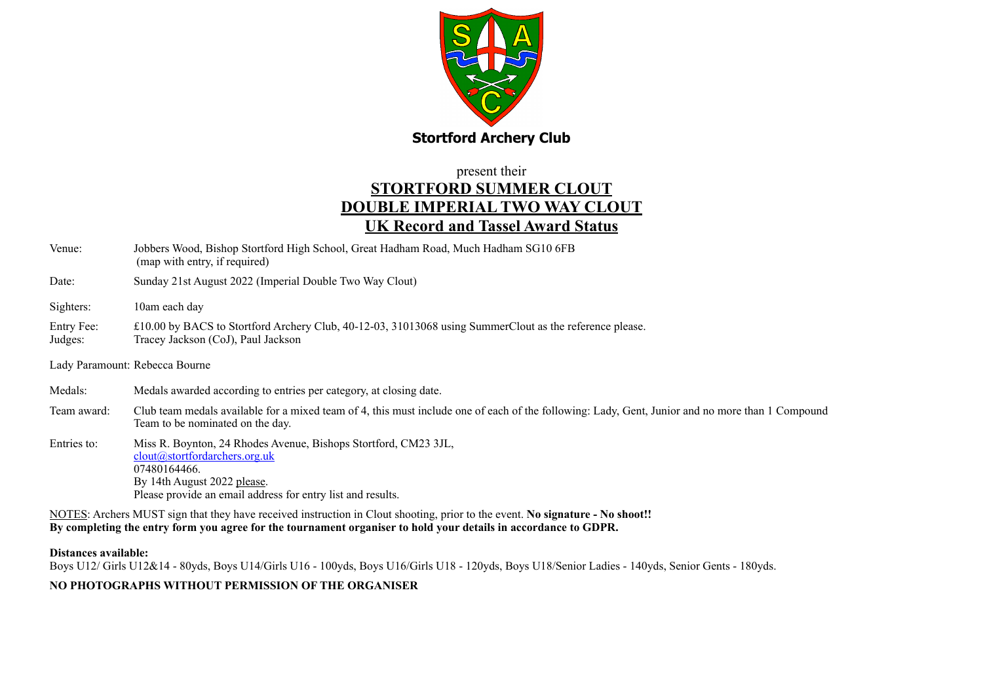

## present their **STORTFORD SUMMER CLOUT DOUBLE IMPERIAL TWO WAY CLOUT UK Record and Tassel Award Status**

| Venue:                | Jobbers Wood, Bishop Stortford High School, Great Hadham Road, Much Hadham SG10 6FB<br>(map with entry, if required)                                                                                           |
|-----------------------|----------------------------------------------------------------------------------------------------------------------------------------------------------------------------------------------------------------|
| Date:                 | Sunday 21st August 2022 (Imperial Double Two Way Clout)                                                                                                                                                        |
| Sighters:             | 10am each day                                                                                                                                                                                                  |
| Entry Fee:<br>Judges: | £10.00 by BACS to Stortford Archery Club, 40-12-03, 31013068 using SummerClout as the reference please.<br>Tracey Jackson (CoJ), Paul Jackson                                                                  |
|                       | Lady Paramount: Rebecca Bourne                                                                                                                                                                                 |
| Medals:               | Medals awarded according to entries per category, at closing date.                                                                                                                                             |
| Team award:           | Club team medals available for a mixed team of 4, this must include one of each of the following: Lady, Gent, Junior and no more than 1 Compound<br>Team to be nominated on the day.                           |
| Entries to:           | Miss R. Boynton, 24 Rhodes Avenue, Bishops Stortford, CM23 3JL,<br>clout@stortfordarchers.org.uk<br>07480164466.<br>By 14th August 2022 please.<br>Please provide an email address for entry list and results. |
|                       | NOTES: Archers MUST sign that they have received instruction in Clout shooting, prior to the event. No signature - No shoot!!                                                                                  |

**By completing the entry form you agree for the tournament organiser to hold your details in accordance to GDPR.** 

**Distances available:**

Boys U12/ Girls U12&14 - 80yds, Boys U14/Girls U16 - 100yds, Boys U16/Girls U18 - 120yds, Boys U18/Senior Ladies - 140yds, Senior Gents - 180yds.

## **NO PHOTOGRAPHS WITHOUT PERMISSION OF THE ORGANISER**